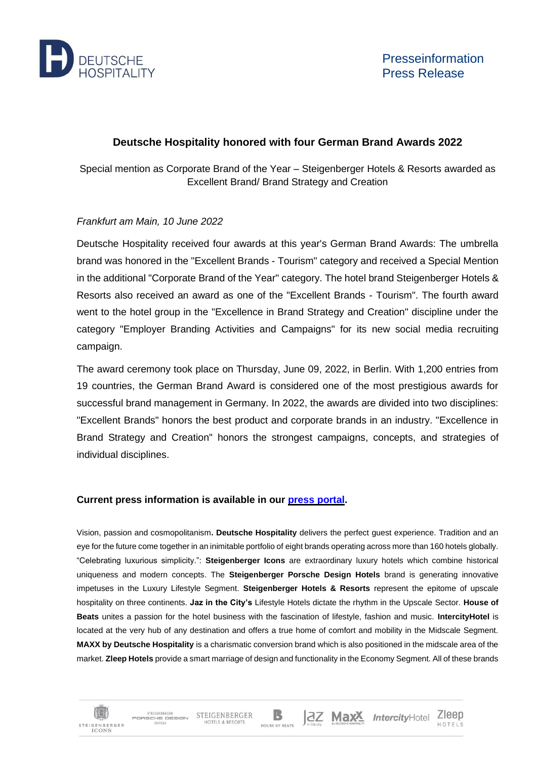

但

IGENBERGER **ICONS** 

STEIGENRERGER

HOTELS

STEIGENBERGER STEIGENBERGER

HOTELS & RESORTS

## **Deutsche Hospitality honored with four German Brand Awards 2022**

Special mention as Corporate Brand of the Year – Steigenberger Hotels & Resorts awarded as Excellent Brand/ Brand Strategy and Creation

## *Frankfurt am Main, 10 June 2022*

Deutsche Hospitality received four awards at this year's German Brand Awards: The umbrella brand was honored in the "Excellent Brands - Tourism" category and received a Special Mention in the additional "Corporate Brand of the Year" category. The hotel brand Steigenberger Hotels & Resorts also received an award as one of the "Excellent Brands - Tourism". The fourth award went to the hotel group in the "Excellence in Brand Strategy and Creation" discipline under the category "Employer Branding Activities and Campaigns" for its new social media recruiting campaign.

The award ceremony took place on Thursday, June 09, 2022, in Berlin. With 1,200 entries from 19 countries, the German Brand Award is considered one of the most prestigious awards for successful brand management in Germany. In 2022, the awards are divided into two disciplines: "Excellent Brands" honors the best product and corporate brands in an industry. "Excellence in Brand Strategy and Creation" honors the strongest campaigns, concepts, and strategies of individual disciplines.

## **Current press information is available in our press [portal.](https://www.deutschehospitality.com/en/press-office)**

Vision, passion and cosmopolitanism**. Deutsche Hospitality** delivers the perfect guest experience. Tradition and an eye for the future come together in an inimitable portfolio of eight brands operating across more than 160 hotels globally. "Celebrating luxurious simplicity.": **Steigenberger Icons** are extraordinary luxury hotels which combine historical uniqueness and modern concepts. The **Steigenberger Porsche Design Hotels** brand is generating innovative impetuses in the Luxury Lifestyle Segment. **Steigenberger Hotels & Resorts** represent the epitome of upscale hospitality on three continents. **Jaz in the City's** Lifestyle Hotels dictate the rhythm in the Upscale Sector. **House of Beats** unites a passion for the hotel business with the fascination of lifestyle, fashion and music. **IntercityHotel** is located at the very hub of any destination and offers a true home of comfort and mobility in the Midscale Segment. **MAXX by Deutsche Hospitality** is a charismatic conversion brand which is also positioned in the midscale area of the market. **Zleep Hotels** provide a smart marriage of design and functionality in the Economy Segment. All of these brands

B

HOUSE OF REATS

**2Z Max<sup>X</sup>** IntercityHotel Zleep

HOTFIS